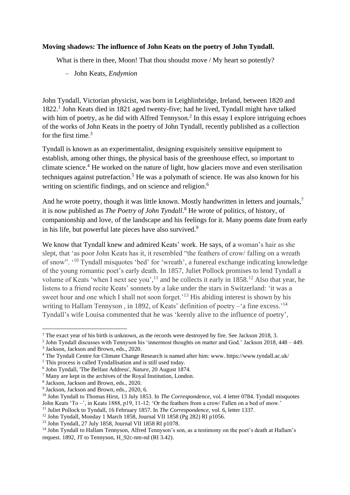## **Moving shadows: The influence of John Keats on the poetry of John Tyndall.**

What is there in thee, Moon! That thou shoudst move / My heart so potently?

– John Keats, *Endymion*

John Tyndall, Victorian physicist, was born in Leighlinbridge, Ireland, between 1820 and 1822.<sup>1</sup> John Keats died in 1821 aged twenty-five; had he lived, Tyndall might have talked with him of poetry, as he did with Alfred Tennyson.<sup>2</sup> In this essay I explore intriguing echoes of the works of John Keats in the poetry of John Tyndall, recently published as a collection for the first time. 3

Tyndall is known as an experimentalist, designing exquisitely sensitive equipment to establish, among other things, the physical basis of the greenhouse effect, so important to climate science. <sup>4</sup> He worked on the nature of light, how glaciers move and even sterilisation techniques against putrefaction.<sup>5</sup> He was a polymath of science. He was also known for his writing on scientific findings, and on science and religion.<sup>6</sup>

And he wrote poetry, though it was little known. Mostly handwritten in letters and journals,<sup>7</sup> it is now published as *The Poetry of John Tyndall*. <sup>8</sup> He wrote of politics, of history, of companionship and love, of the landscape and his feelings for it. Many poems date from early in his life, but powerful late pieces have also survived.<sup>9</sup>

We know that Tyndall knew and admired Keats' work. He says, of a woman's hair as she slept, that 'as poor John Keats has it, it resembled "the feathers of crow/ falling on a wreath of snow". '<sup>10</sup> Tyndall misquotes 'bed' for 'wreath', a funereal exchange indicating knowledge of the young romantic poet's early death. In 1857, Juliet Pollock promises to lend Tyndall a volume of Keats 'when I next see you',<sup>11</sup> and he collects it early in  $1858$ <sup>12</sup> Also that year, he listens to a friend recite Keats' sonnets by a lake under the stars in Switzerland: 'it was a sweet hour and one which I shall not soon forget.<sup>'13</sup> His abiding interest is shown by his writing to Hallam Tennyson, in 1892, of Keats' definition of poetry -'a fine excess.'<sup>14</sup> Tyndall's wife Louisa commented that he was 'keenly alive to the influence of poetry',

<sup>&</sup>lt;sup>1</sup> The exact year of his birth is unknown, as the records were destroyed by fire. See Jackson 2018, 3.

<sup>2</sup> John Tyndall discusses with Tennyson his 'innermost thoughts on matter and God.' Jackson 2018, 448 – 449. 3 Jackson, Jackson and Brown, eds., 2020.

<sup>4</sup> The Tyndall Centre for Climate Change Research is named after him: www. https://www.tyndall.ac.uk/

<sup>&</sup>lt;sup>5</sup> This process is called Tyndallisation and is still used today.

<sup>6</sup> John Tyndall, 'The Belfast Address', *Nature*, 20 August 1874.

<sup>7</sup> Many are kept in the archives of the Royal Institution, London.

<sup>8</sup> Jackson, Jackson and Brown, eds., 2020.

<sup>&</sup>lt;sup>9</sup> Jackson, Jackson and Brown, eds., 2020, 6.

<sup>&</sup>lt;sup>10</sup> John Tyndall to Thomas Hirst, 13 July 1853. In *The Correspondence*, vol. 4 letter 0784. Tyndall misquotes John Keats 'To –', in Keats 1888, p19, 11-12: 'Or the feathers from a crow/ Fallen on a bed of snow.'

<sup>11</sup> Juliet Pollock to Tyndall, 16 February 1857. In *The Correspondence*, vol. 6, letter 1337.

<sup>&</sup>lt;sup>12</sup> John Tyndall, Monday 1 March 1858, Journal VII 1858 (Pg 282) RI p1056.

<sup>13</sup> John Tyndall, 27 July 1858, Journal VII 1858 RI p1078.

<sup>&</sup>lt;sup>14</sup> John Tyndall to Hallam Tennyson, Alfred Tennyson's son, as a testimony on the poet's death at Hallam's request. 1892, JT to Tennyson, H\_92c-nm-nd (RI 3.42).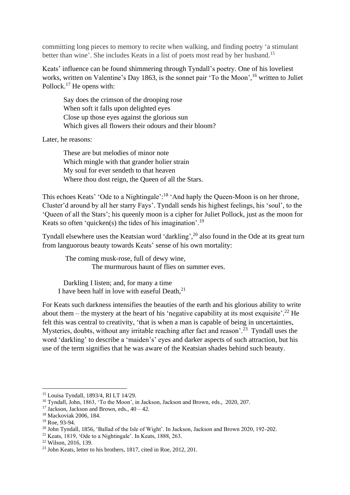committing long pieces to memory to recite when walking, and finding poetry 'a stimulant better than wine'. She includes Keats in a list of poets most read by her husband.<sup>15</sup>

Keats' influence can be found shimmering through Tyndall's poetry. One of his loveliest works, written on Valentine's Day 1863, is the sonnet pair 'To the Moon', <sup>16</sup> written to Juliet Pollock.<sup>17</sup> He opens with:

Say does the crimson of the drooping rose When soft it falls upon delighted eyes Close up those eyes against the glorious sun Which gives all flowers their odours and their bloom?

Later, he reasons:

These are but melodies of minor note Which mingle with that grander holier strain My soul for ever sendeth to that heaven Where thou dost reign, the Queen of all the Stars.

This echoes Keats' 'Ode to a Nightingale':<sup>18</sup> 'And haply the Queen-Moon is on her throne, Cluster'd around by all her starry Fays'. Tyndall sends his highest feelings, his 'soul', to the 'Queen of all the Stars'; his queenly moon is a cipher for Juliet Pollock, just as the moon for Keats so often 'quicken(s) the tides of his imagination'.<sup>19</sup>

Tyndall elsewhere uses the Keatsian word 'darkling',<sup>20</sup> also found in the Ode at its great turn from languorous beauty towards Keats' sense of his own mortality:

The coming musk-rose, full of dewy wine, The murmurous haunt of flies on summer eves.

Darkling I listen; and, for many a time I have been half in love with easeful Death, $^{21}$ 

For Keats such darkness intensifies the beauties of the earth and his glorious ability to write about them – the mystery at the heart of his 'negative capability at its most exquisite'.<sup>22</sup> He felt this was central to creativity, 'that is when a man is capable of being in uncertainties, Mysteries, doubts, without any irritable reaching after fact and reason'.<sup>23</sup> Tyndall uses the word 'darkling' to describe a 'maiden's' eyes and darker aspects of such attraction, but his use of the term signifies that he was aware of the Keatsian shades behind such beauty.

<sup>15</sup> Louisa Tyndall, 1893/4, RI LT 14/29.

<sup>&</sup>lt;sup>16</sup> Tyndall, John, 1863, 'To the Moon', in Jackson, Jackson and Brown, eds., 2020, 207.

<sup>&</sup>lt;sup>17</sup> Jackson, Jackson and Brown, eds.,  $40 - 42$ .

<sup>18</sup> Mackoviak 2006, 184.

<sup>19</sup> Roe, 93-94.

<sup>&</sup>lt;sup>20</sup> John Tyndall, 1856, 'Ballad of the Isle of Wight'. In Jackson, Jackson and Brown 2020, 192-202.

<sup>21</sup> Keats, 1819, 'Ode to a Nightingale'. In Keats, 1888, 263.

<sup>22</sup> Wilson, 2016, 139.

<sup>23</sup> John Keats, letter to his brothers, 1817, cited in Roe, 2012, 201.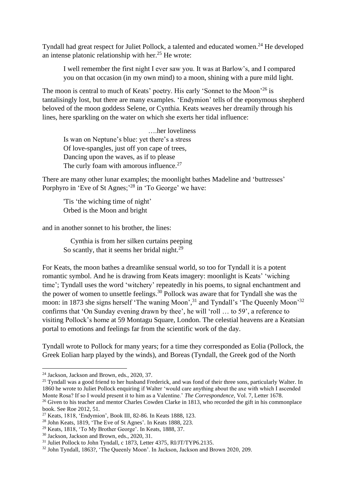Tyndall had great respect for Juliet Pollock, a talented and educated women.<sup>24</sup> He developed an intense platonic relationship with her.<sup>25</sup> He wrote:

I well remember the first night I ever saw you. It was at Barlow's, and I compared you on that occasion (in my own mind) to a moon, shining with a pure mild light.

The moon is central to much of Keats' poetry. His early 'Sonnet to the Moon'<sup>26</sup> is tantalisingly lost, but there are many examples. 'Endymion' tells of the eponymous shepherd beloved of the moon goddess Selene, or Cynthia. Keats weaves her dreamily through his lines, here sparkling on the water on which she exerts her tidal influence:

 ….her loveliness Is wan on Neptune's blue: yet there's a stress Of love-spangles, just off yon cape of trees, Dancing upon the waves, as if to please The curly foam with amorous influence. $27$ 

There are many other lunar examples; the moonlight bathes Madeline and 'buttresses' Porphyro in 'Eve of St Agnes;<sup>28</sup> in 'To George' we have:

'Tis 'the wiching time of night' Orbed is the Moon and bright

and in another sonnet to his brother, the lines:

 Cynthia is from her silken curtains peeping So scantly, that it seems her bridal night.<sup>29</sup>

For Keats, the moon bathes a dreamlike sensual world, so too for Tyndall it is a potent romantic symbol. And he is drawing from Keats imagery: moonlight is Keats' 'wiching time'; Tyndall uses the word 'witchery' repeatedly in his poems, to signal enchantment and the power of women to unsettle feelings. <sup>30</sup> Pollock was aware that for Tyndall she was the moon: in 1873 she signs herself 'The waning Moon',<sup>31</sup> and Tyndall's 'The Queenly Moon'<sup>32</sup> confirms that 'On Sunday evening drawn by thee', he will 'roll … to 59', a reference to visiting Pollock's home at 59 Montagu Square, London. The celestial heavens are a Keatsian portal to emotions and feelings far from the scientific work of the day.

Tyndall wrote to Pollock for many years; for a time they corresponded as Eolia (Pollock, the Greek Eolian harp played by the winds), and Boreas (Tyndall, the Greek god of the North

<sup>24</sup> Jackson, Jackson and Brown, eds., 2020, 37.

<sup>&</sup>lt;sup>25</sup> Tyndall was a good friend to her husband Frederick, and was fond of their three sons, particularly Walter. In 1860 he wrote to Juliet Pollock enquiring if Walter 'would care anything about the axe with which I ascended Monte Rosa? If so I would present it to him as a Valentine.' *The Correspondence*, Vol. 7, Letter 1678.

<sup>&</sup>lt;sup>26</sup> Given to his teacher and mentor Charles Cowden Clarke in 1813, who recorded the gift in his commonplace book. See Roe 2012, 51.

<sup>27</sup> Keats, 1818, 'Endymion', Book III, 82-86. In Keats 1888, 123.

<sup>28</sup> John Keats, 1819, 'The Eve of St Agnes'. In Keats 1888, 223.

<sup>29</sup> Keats, 1818, 'To My Brother George'. In Keats, 1888, 37.

<sup>30</sup> Jackson, Jackson and Brown, eds., 2020, 31.

<sup>&</sup>lt;sup>31</sup> Juliet Pollock to John Tyndall, c 1873, Letter 4375, RI/JT/TYP6.2135.

<sup>32</sup> John Tyndall, 1863?, 'The Queenly Moon'. In Jackson, Jackson and Brown 2020, 209.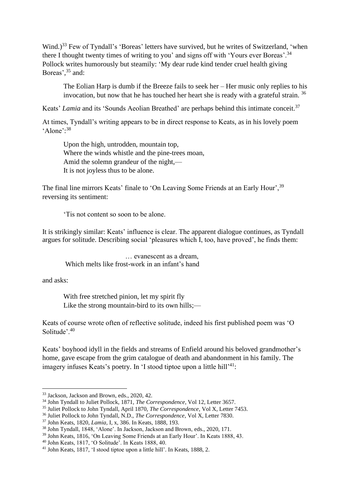Wind.)<sup>33</sup> Few of Tyndall's 'Boreas' letters have survived, but he writes of Switzerland, 'when there I thought twenty times of writing to you' and signs off with 'Yours ever Boreas'.<sup>34</sup> Pollock writes humorously but steamily: 'My dear rude kind tender cruel health giving Boreas', <sup>35</sup> and:

The Eolian Harp is dumb if the Breeze fails to seek her – Her music only replies to his invocation, but now that he has touched her heart she is ready with a grateful strain. <sup>36</sup>

Keats' *Lamia* and its 'Sounds Aeolian Breathed' are perhaps behind this intimate conceit.<sup>37</sup>

At times, Tyndall's writing appears to be in direct response to Keats, as in his lovely poem 'Alone': 38

Upon the high, untrodden, mountain top, Where the winds whistle and the pine-trees moan, Amid the solemn grandeur of the night,— It is not joyless thus to be alone.

The final line mirrors Keats' finale to 'On Leaving Some Friends at an Early Hour'.<sup>39</sup> reversing its sentiment:

'Tis not content so soon to be alone.

It is strikingly similar: Keats' influence is clear. The apparent dialogue continues, as Tyndall argues for solitude. Describing social 'pleasures which I, too, have proved', he finds them:

 … evanescent as a dream, Which melts like frost-work in an infant's hand

and asks:

With free stretched pinion, let my spirit fly Like the strong mountain-bird to its own hills;—

Keats of course wrote often of reflective solitude, indeed his first published poem was 'O Solitude'.<sup>40</sup>

Keats' boyhood idyll in the fields and streams of Enfield around his beloved grandmother's home, gave escape from the grim catalogue of death and abandonment in his family. The imagery infuses Keats's poetry. In 'I stood tiptoe upon a little hill'<sup>41</sup>:

<sup>35</sup> Juliet Pollock to John Tyndall, April 1870, *The Correspondence*, Vol X, Letter 7453.

<sup>33</sup> Jackson, Jackson and Brown, eds., 2020, 42.

<sup>34</sup> John Tyndall to Juliet Pollock, 1871, *The Correspondence*, Vol 12, Letter 3657.

<sup>36</sup> Juliet Pollock to John Tyndall, N.D., *The Correspondence*, Vol X, Letter 7830.

<sup>37</sup> John Keats, 1820, *Lamia,* I, x, 386. In Keats, 1888, 193.

<sup>38</sup> John Tyndall, 1848, 'Alone'. In Jackson, Jackson and Brown, eds., 2020, 171.

<sup>39</sup> John Keats, 1816, 'On Leaving Some Friends at an Early Hour'. In Keats 1888, 43.

<sup>40</sup> John Keats, 1817, 'O Solitude'. In Keats 1888, 40.

<sup>41</sup> John Keats, 1817, 'I stood tiptoe upon a little hill'. In Keats, 1888, 2.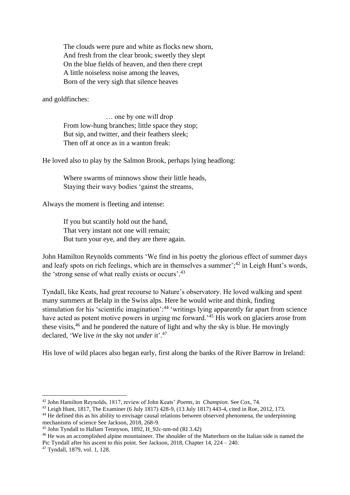The clouds were pure and white as flocks new shorn, And fresh from the clear brook; sweetly they slept On the blue fields of heaven, and then there crept A little noiseless noise among the leaves, Born of the very sigh that silence heaves

and goldfinches:

… one by one will drop From low-hung branches; little space they stop; But sip, and twitter, and their feathers sleek; Then off at once as in a wanton freak:

He loved also to play by the Salmon Brook, perhaps lying headlong:

Where swarms of minnows show their little heads, Staying their wavy bodies 'gainst the streams,

Always the moment is fleeting and intense:

If you but scantily hold out the hand, That very instant not one will remain; But turn your eye, and they are there again.

John Hamilton Reynolds comments 'We find in his poetry the glorious effect of summer days and leafy spots on rich feelings, which are in themselves a summer';<sup>42</sup> in Leigh Hunt's words, the 'strong sense of what really exists or occurs'.<sup>43</sup>

Tyndall, like Keats, had great recourse to Nature's observatory. He loved walking and spent many summers at Belalp in the Swiss alps. Here he would write and think, finding stimulation for his 'scientific imagination':<sup>44</sup> 'writings lying apparently far apart from science have acted as potent motive powers in urging me forward.<sup>45</sup> His work on glaciers arose from these visits,<sup>46</sup> and he pondered the nature of light and why the sky is blue. He movingly declared, 'We live *in* the sky not *under* it'. 47

His love of wild places also began early, first along the banks of the River Barrow in Ireland:

<sup>43</sup> Leigh Hunt, 1817, The Examiner (6 July 1817) 428-9, (13 July 1817) 443-4, cited in Roe, 2012, 173.

<sup>46</sup> He was an accomplished alpine mountaineer. The shoulder of the Matterhorn on the Italian side is named the Pic Tyndall after his ascent to this point. See Jackson, 2018, Chapter 14, 224 – 240.

<sup>42</sup> John Hamilton Reynolds, 1817, review of John Keats' *Poems,* in *Champion*. See Cox, 74.

<sup>&</sup>lt;sup>44</sup> He defined this as his ability to envisage causal relations between observed phenomena, the underpinning mechanisms of science See Jackson, 2018, 268-9.

<sup>45</sup> John Tyndall to Hallam Tennyson, 1892, H\_92c-nm-nd (RI 3.42)

<sup>47</sup> Tyndall, 1879, vol. 1, 128.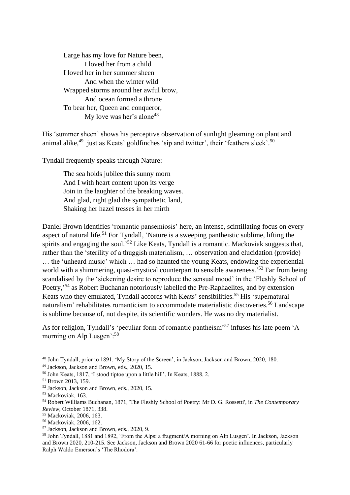Large has my love for Nature been, I loved her from a child I loved her in her summer sheen And when the winter wild Wrapped storms around her awful brow, And ocean formed a throne To bear her, Queen and conqueror, My love was her's alone<sup>48</sup>

His 'summer sheen' shows his perceptive observation of sunlight gleaming on plant and animal alike,<sup>49</sup> just as Keats' goldfinches 'sip and twitter', their 'feathers sleek'.<sup>50</sup>

Tyndall frequently speaks through Nature:

The sea holds jubilee this sunny morn And I with heart content upon its verge Join in the laughter of the breaking waves. And glad, right glad the sympathetic land, Shaking her hazel tresses in her mirth

Daniel Brown identifies 'romantic pansemiosis' here, an intense, scintillating focus on every aspect of natural life.<sup>51</sup> For Tyndall, 'Nature is a sweeping pantheistic sublime, lifting the spirits and engaging the soul.<sup>52</sup> Like Keats, Tyndall is a romantic. Mackoviak suggests that, rather than the 'sterility of a thuggish materialism, … observation and elucidation (provide) … the 'unheard music' which … had so haunted the young Keats, endowing the experiential world with a shimmering, quasi-mystical counterpart to sensible awareness.<sup>553</sup> Far from being scandalised by the 'sickening desire to reproduce the sensual mood' in the 'Fleshly School of Poetry,<sup>54</sup> as Robert Buchanan notoriously labelled the Pre-Raphaelites, and by extension Keats who they emulated, Tyndall accords with Keats' sensibilities.<sup>55</sup> His 'supernatural naturalism' rehabilitates romanticism to accommodate materialistic discoveries.<sup>56</sup> Landscape is sublime because of, not despite, its scientific wonders. He was no dry materialist.

As for religion, Tyndall's 'peculiar form of romantic pantheism'<sup>57</sup> infuses his late poem 'A morning on Alp Lusgen':<sup>58</sup>

<sup>48</sup> John Tyndall, prior to 1891, 'My Story of the Screen', in Jackson, Jackson and Brown, 2020, 180.

<sup>49</sup> Jackson, Jackson and Brown, eds., 2020, 15.

<sup>50</sup> John Keats, 1817, 'I stood tiptoe upon a little hill'. In Keats, 1888, 2.

<sup>51</sup> Brown 2013, 159.

<sup>52</sup> Jackson, Jackson and Brown, eds., 2020, 15.

<sup>53</sup> Mackoviak, 163.

<sup>54</sup> [Robert Williams Buchanan,](https://www.bl.uk/collection-items?creator_sorted=Robert%20Williams*Buchanan) 1871, 'The Fleshly School of Poetry: Mr D. G. Rossetti', in *The Contemporary Review*, October 1871, 338.

<sup>55</sup> Mackoviak, 2006, 163.

<sup>56</sup> Mackoviak, 2006, 162.

<sup>57</sup> Jackson, Jackson and Brown, eds., 2020, 9.

<sup>58</sup> John Tyndall, 1881 and 1892, 'From the Alps: a fragment/A morning on Alp Lusgen'. In Jackson, Jackson and Brown 2020, 210-215. See Jackson, Jackson and Brown 2020 61-66 for poetic influences, particularly Ralph Waldo Emerson's 'The Rhodora'.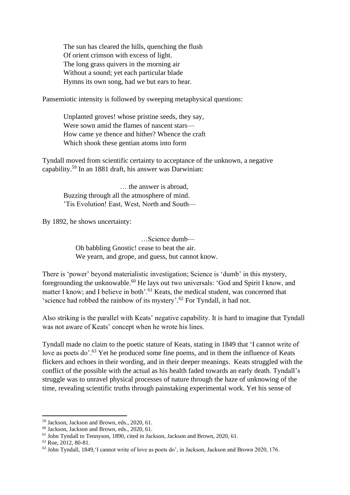The sun has cleared the hills, quenching the flush Of orient crimson with excess of light. The long grass quivers in the morning air Without a sound; yet each particular blade Hymns its own song, had we but ears to hear.

Pansemiotic intensity is followed by sweeping metaphysical questions:

Unplanted groves! whose pristine seeds, they say, Were sown amid the flames of nascent stars— How came ye thence and hither? Whence the craft Which shook these gentian atoms into form

Tyndall moved from scientific certainty to acceptance of the unknown, a negative capability. <sup>59</sup> In an 1881 draft, his answer was Darwinian:

 … the answer is abroad, Buzzing through all the atmosphere of mind. 'Tis Evolution! East, West, North and South—

By 1892, he shows uncertainty:

 …Science dumb— Oh babbling Gnostic! cease to beat the air. We yearn, and grope, and guess, but cannot know.

There is 'power' beyond materialistic investigation; Science is 'dumb' in this mystery, foregrounding the unknowable.<sup>60</sup> He lays out two universals: 'God and Spirit I know, and matter I know; and I believe in both'.<sup>61</sup> Keats, the medical student, was concerned that 'science had robbed the rainbow of its mystery'. <sup>62</sup> For Tyndall, it had not.

Also striking is the parallel with Keats' negative capability. It is hard to imagine that Tyndall was not aware of Keats' concept when he wrote his lines.

Tyndall made no claim to the poetic stature of Keats, stating in 1849 that 'I cannot write of love as poets do'.<sup>63</sup> Yet he produced some fine poems, and in them the influence of Keats flickers and echoes in their wording, and in their deeper meanings. Keats struggled with the conflict of the possible with the actual as his health faded towards an early death. Tyndall's struggle was to unravel physical processes of nature through the haze of unknowing of the time, revealing scientific truths through painstaking experimental work. Yet his sense of

<sup>59</sup> Jackson, Jackson and Brown, eds., 2020, 61.

<sup>60</sup> Jackson, Jackson and Brown, eds., 2020, 61.

<sup>61</sup> John Tyndall to Tennyson, 1890, cited in Jackson, Jackson and Brown, 2020, 61.

 $62$  Roe, 2012, 80-81.

<sup>63</sup> John Tyndall, 1849,'I cannot write of love as poets do', in Jackson, Jackson and Brown 2020, 176.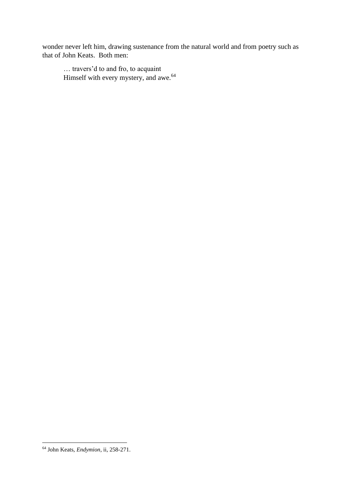wonder never left him, drawing sustenance from the natural world and from poetry such as that of John Keats. Both men:

… travers'd to and fro, to acquaint Himself with every mystery, and awe.<sup>64</sup>

<sup>64</sup> John Keats, *Endymion*, ii, 258-271.